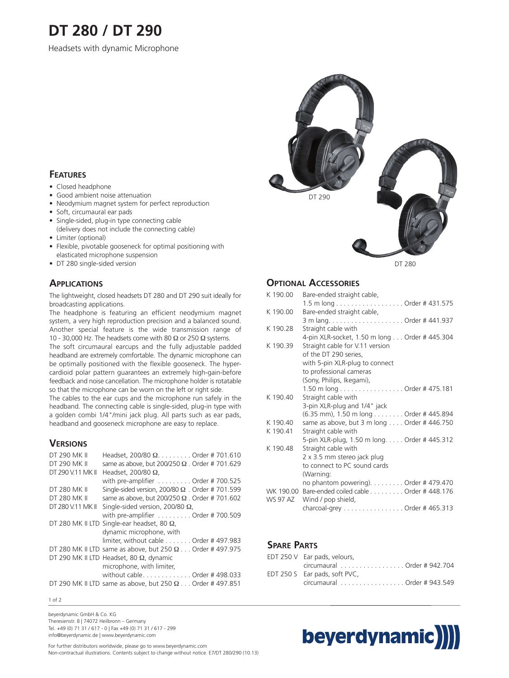# **DT 280 / DT 290**

Headsets with dynamic Microphone

# **FEATURES**

- Closed headphone
- Good ambient noise attenuation
- Neodymium magnet system for perfect reproduction
- Soft, circumaural ear pads
- Single-sided, plug-in type connecting cable
- (delivery does not include the connecting cable)
- Limiter (optional)
- Flexible, pivotable gooseneck for optimal positioning with elasticated microphone suspension
- DT 280 single-sided version

## **APPLICATIONS**

The lightweight, closed headsets DT 280 and DT 290 suit ideally for broadcasting applications.

The headphone is featuring an efficient neodymium magnet system, a very high reproduction precision and a balanced sound. Another special feature is the wide transmission range of 10 - 30,000 Hz. The headsets come with 80  $\Omega$  or 250  $\Omega$  systems.

The soft circumaural earcups and the fully adjustable padded headband are extremely comfortable. The dynamic microphone can be optimally positioned with the flexible gooseneck. The hypercardioid polar pattern guarantees an extremely high-gain-before feedback and noise cancellation. The microphone holder is rotatable so that the microphone can be worn on the left or right side.

The cables to the ear cups and the microphone run safely in the headband. The connecting cable is single-sided, plug-in type with a golden combi 1/4"/mini jack plug. All parts such as ear pads, headband and gooseneck microphone are easy to replace.

# **VERSIONS**

| DT 290 MK II      | Headset, 200/80 $\Omega$ Order # 701.610                        |
|-------------------|-----------------------------------------------------------------|
| DT 290 MK II      | same as above, but 200/250 $\Omega$ . Order # 701.629           |
| DT 290 V.11 MK II | Headset, 200/80 $\Omega$ ,                                      |
|                   | with pre-amplifier $\dots\dots\dots$ Order # 700.525            |
| DT 280 MK II      | Single-sided version, 200/80 $\Omega$ . Order # 701.599         |
| DT 280 MK II      | same as above, but 200/250 $\Omega$ . Order #701.602            |
| DT 280 V.11 MK II | Single-sided version, 200/80 $\Omega$ ,                         |
|                   | with pre-amplifier Order # 700.509                              |
|                   | DT 280 MK II LTD Single-ear headset, 80 $\Omega$ ,              |
|                   | dynamic microphone, with                                        |
|                   | limiter, without cable $\dots \dots$ Order # 497.983            |
|                   | DT 280 MK II LTD same as above, but 250 $\Omega$ Order #497.975 |
|                   | DT 290 MK II LTD Headset, 80 $\Omega$ , dynamic                 |
|                   | microphone, with limiter,                                       |
|                   | without cable. Order # 498.033                                  |
|                   | DT 290 MK II LTD same as above, but 250 $\Omega$ Order #497.851 |



DT 280

## **OPTIONAL ACCESSORIES**

| K 190.00  | Bare-ended straight cable,                   |
|-----------|----------------------------------------------|
|           | 1.5 m long Order # 431.575                   |
| K 190.00  | Bare-ended straight cable,                   |
|           |                                              |
| K 190.28  | Straight cable with                          |
|           | 4-pin XLR-socket, 1.50 m long Order #445.304 |
| K 190.39  | Straight cable for V.11 version              |
|           | of the DT 290 series,                        |
|           | with 5-pin XLR-plug to connect               |
|           | to professional cameras                      |
|           | (Sony, Philips, Ikegami),                    |
|           | 1.50 m long Order # 475.181                  |
| K 190.40  | Straight cable with                          |
|           | 3-pin XLR-plug and 1/4" jack                 |
|           | (6.35 mm), 1.50 m long Order # 445.894       |
| K 190.40  | same as above, but 3 m long Order # 446.750  |
| K 190.41  | Straight cable with                          |
|           | 5-pin XLR-plug, 1.50 m long Order #445.312   |
| K 190.48  | Straight cable with                          |
|           | 2 x 3.5 mm stereo jack plug                  |
|           | to connect to PC sound cards                 |
|           | (Warning:                                    |
|           | no phantom powering). Order # 479.470        |
| WK 190.00 | Bare-ended coiled cable Order #448.176       |
| WS 97 AZ  | Wind / pop shield,                           |
|           | charcoal-grey Order # 465.313                |

# **SPARE PARTS**

| EDT 250 V Ear pads, velours,                                     |
|------------------------------------------------------------------|
| circumaural $\ldots \ldots \ldots \ldots \ldots$ Order # 942.704 |
| EDT 250 S Ear pads, soft PVC,                                    |
| circumaural Order # 943.549                                      |

#### 1 of 2

beyerdynamic GmbH & Co. KG Theresienstr. 8 | 74072 Heilbronn – Germany Tel. +49 (0) 71 31 / 617 - 0 | Fax +49 (0) 71 31 / 617 - 299 info@beyerdynamic.de | www.beyerdynamic.com

For further distributors worldwide, please go to www.beyerdynamic.com Non-contractual illustrations. Contents subject to change without notice. E7/DT 280/290 (10.13)

# beyerdynamic)